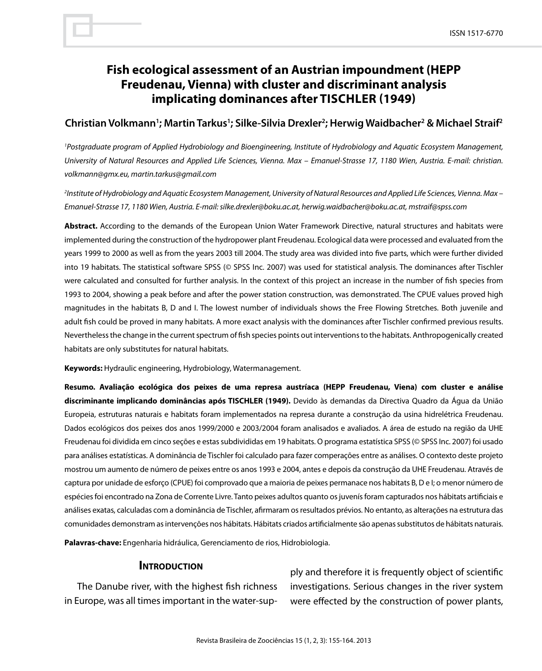# **Fish ecological assessment of an Austrian impoundment (HEPP Freudenau, Vienna) with cluster and discriminant analysis implicating dominances after Tischler (1949)**

## **Christian Volkmann1 ; Martin Tarkus1 ; Silke-Silvia Drexler2 ; Herwig Waidbacher2 & Michael Straif2**

<sup>1</sup> Postgraduate program of Applied Hydrobiology and Bioengineering, Institute of Hydrobiology and Aquatic Ecosystem Management, *University of Natural Resources and Applied Life Sciences, Vienna. Max – Emanuel-Strasse 17, 1180 Wien, Austria. E-mail: christian. volkmann@gmx.eu, martin.tarkus@gmail.com*

*2 Institute of Hydrobiology and Aquatic Ecosystem Management, University of Natural Resources and Applied Life Sciences, Vienna. Max – Emanuel-Strasse 17, 1180 Wien, Austria. E-mail: silke.drexler@boku.ac.at, herwig.waidbacher@boku.ac.at, mstraif@spss.com* 

**Abstract.** According to the demands of the European Union Water Framework Directive, natural structures and habitats were implemented during the construction of the hydropower plant Freudenau. Ecological data were processed and evaluated from the years 1999 to 2000 as well as from the years 2003 till 2004. The study area was divided into five parts, which were further divided into 19 habitats. The statistical software SPSS (© SPSS Inc. 2007) was used for statistical analysis. The dominances after Tischler were calculated and consulted for further analysis. In the context of this project an increase in the number of fish species from 1993 to 2004, showing a peak before and after the power station construction, was demonstrated. The CPUE values proved high magnitudes in the habitats B, D and I. The lowest number of individuals shows the Free Flowing Stretches. Both juvenile and adult fish could be proved in many habitats. A more exact analysis with the dominances after Tischler confirmed previous results. Nevertheless the change in the current spectrum of fish species points out interventions to the habitats. Anthropogenically created habitats are only substitutes for natural habitats.

**Keywords:** Hydraulic engineering, Hydrobiology, Watermanagement.

**Resumo. Avaliação ecológica dos peixes de uma represa austríaca (HEPP Freudenau, Viena) com cluster e análise discriminante implicando dominâncias após TISCHLER (1949).** Devido às demandas da Directiva Quadro da Água da União Europeia, estruturas naturais e habitats foram implementados na represa durante a construção da usina hidrelétrica Freudenau. Dados ecológicos dos peixes dos anos 1999/2000 e 2003/2004 foram analisados e avaliados. A área de estudo na região da UHE Freudenau foi dividida em cinco seções e estas subdivididas em 19 habitats. O programa estatística SPSS (© SPSS Inc. 2007) foi usado para análises estatísticas. A dominância de Tischler foi calculado para fazer comperações entre as análises. O contexto deste projeto mostrou um aumento de número de peixes entre os anos 1993 e 2004, antes e depois da construção da UHE Freudenau. Através de captura por unidade de esforço (CPUE) foi comprovado que a maioria de peixes permanace nos habitats B, D e I; o menor número de espécies foi encontrado na Zona de Corrente Livre. Tanto peixes adultos quanto os juvenís foram capturados nos hábitats artificiais e análises exatas, calculadas com a dominância de Tischler, afirmaram os resultados prévios. No entanto, as alterações na estrutura das comunidades demonstram as intervenções nos hábitats. Hábitats criados artificialmente são apenas substitutos de hábitats naturais.

**Palavras-chave:** Engenharia hidráulica, Gerenciamento de rios, Hidrobiologia.

### **INTRODUCTION**

The Danube river, with the highest fish richness in Europe, was all times important in the water-supply and therefore it is frequently object of scientific investigations. Serious changes in the river system were effected by the construction of power plants,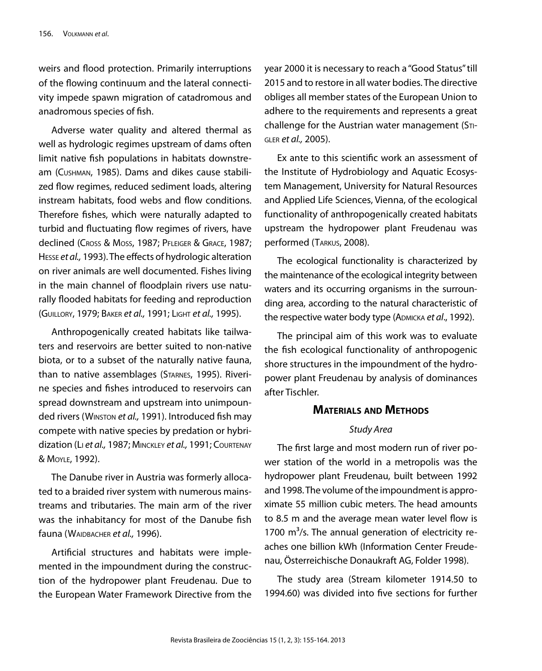weirs and flood protection. Primarily interruptions of the flowing continuum and the lateral connectivity impede spawn migration of catadromous and anadromous species of fish.

Adverse water quality and altered thermal as well as hydrologic regimes upstream of dams often limit native fish populations in habitats downstream (Cushman, 1985). Dams and dikes cause stabilized flow regimes, reduced sediment loads, altering instream habitats, food webs and flow conditions. Therefore fishes, which were naturally adapted to turbid and fluctuating flow regimes of rivers, have declined (Cross & Moss, 1987; PFLEIGER & GRACE, 1987; Hesse *et al.,* 1993). The effects of hydrologic alteration on river animals are well documented. Fishes living in the main channel of floodplain rivers use naturally flooded habitats for feeding and reproduction (Guillory, 1979; Baker *et al.,* 1991; Light *et al.,* 1995).

Anthropogenically created habitats like tailwaters and reservoirs are better suited to non-native biota, or to a subset of the naturally native fauna, than to native assemblages (STARNES, 1995). Riverine species and fishes introduced to reservoirs can spread downstream and upstream into unimpounded rivers (Winston *et al.,* 1991). Introduced fish may compete with native species by predation or hybridization (Li *et al.,* 1987; Minckley *et al.,* 1991; Courtenay & Moyle, 1992).

The Danube river in Austria was formerly allocated to a braided river system with numerous mainstreams and tributaries. The main arm of the river was the inhabitancy for most of the Danube fish fauna (WAIDBACHER et al., 1996).

Artificial structures and habitats were implemented in the impoundment during the construction of the hydropower plant Freudenau. Due to the European Water Framework Directive from the

year 2000 it is necessary to reach a "Good Status" till 2015 and to restore in all water bodies. The directive obliges all member states of the European Union to adhere to the requirements and represents a great challenge for the Austrian water management ( $S$ TIgler *et al.,* 2005).

Ex ante to this scientific work an assessment of the Institute of Hydrobiology and Aquatic Ecosystem Management, University for Natural Resources and Applied Life Sciences, Vienna, of the ecological functionality of anthropogenically created habitats upstream the hydropower plant Freudenau was performed (Tarkus, 2008).

The ecological functionality is characterized by the maintenance of the ecological integrity between waters and its occurring organisms in the surrounding area, according to the natural characteristic of the respective water body type (ADMICKA *et al.*, 1992).

The principal aim of this work was to evaluate the fish ecological functionality of anthropogenic shore structures in the impoundment of the hydropower plant Freudenau by analysis of dominances after Tischler.

## **Materials and Methods**

#### *Study Area*

The first large and most modern run of river power station of the world in a metropolis was the hydropower plant Freudenau, built between 1992 and 1998. The volume of the impoundment is approximate 55 million cubic meters. The head amounts to 8.5 m and the average mean water level flow is 1700  $\mathrm{m}^3$ /s. The annual generation of electricity reaches one billion kWh (Information Center Freudenau, Österreichische Donaukraft AG, Folder 1998).

The study area (Stream kilometer 1914.50 to 1994.60) was divided into five sections for further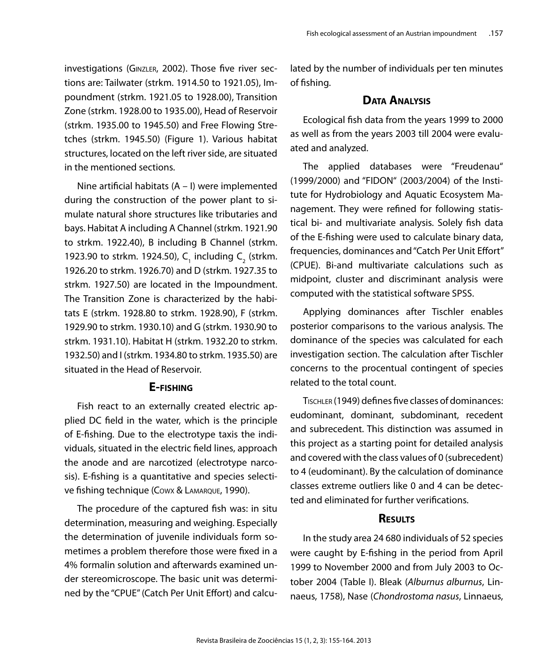investigations (Ginzler, 2002). Those five river sections are: Tailwater (strkm. 1914.50 to 1921.05), Impoundment (strkm. 1921.05 to 1928.00), Transition Zone (strkm. 1928.00 to 1935.00), Head of Reservoir (strkm. 1935.00 to 1945.50) and Free Flowing Stretches (strkm. 1945.50) (Figure 1). Various habitat structures, located on the left river side, are situated in the mentioned sections.

Nine artificial habitats (A – I) were implemented during the construction of the power plant to simulate natural shore structures like tributaries and bays. Habitat A including A Channel (strkm. 1921.90 to strkm. 1922.40), B including B Channel (strkm. 1923.90 to strkm. 1924.50),  $C_1$  including  $C_2$  (strkm. 1926.20 to strkm. 1926.70) and D (strkm. 1927.35 to strkm. 1927.50) are located in the Impoundment. The Transition Zone is characterized by the habitats E (strkm. 1928.80 to strkm. 1928.90), F (strkm. 1929.90 to strkm. 1930.10) and G (strkm. 1930.90 to strkm. 1931.10). Habitat H (strkm. 1932.20 to strkm. 1932.50) and I (strkm. 1934.80 to strkm. 1935.50) are situated in the Head of Reservoir.

### **E-fishing**

Fish react to an externally created electric applied DC field in the water, which is the principle of E-fishing. Due to the electrotype taxis the individuals, situated in the electric field lines, approach the anode and are narcotized (electrotype narcosis). E-fishing is a quantitative and species selective fishing technique (Cowx & Lamarque, 1990).

The procedure of the captured fish was: in situ determination, measuring and weighing. Especially the determination of juvenile individuals form sometimes a problem therefore those were fixed in a 4% formalin solution and afterwards examined under stereomicroscope. The basic unit was determined by the "CPUE" (Catch Per Unit Effort) and calculated by the number of individuals per ten minutes of fishing.

# **Data Analysis**

Ecological fish data from the years 1999 to 2000 as well as from the years 2003 till 2004 were evaluated and analyzed.

The applied databases were "Freudenau" (1999/2000) and "FIDON" (2003/2004) of the Institute for Hydrobiology and Aquatic Ecosystem Management. They were refined for following statistical bi- and multivariate analysis. Solely fish data of the E-fishing were used to calculate binary data, frequencies, dominances and "Catch Per Unit Effort" (CPUE). Bi-and multivariate calculations such as midpoint, cluster and discriminant analysis were computed with the statistical software SPSS.

Applying dominances after Tischler enables posterior comparisons to the various analysis. The dominance of the species was calculated for each investigation section. The calculation after Tischler concerns to the procentual contingent of species related to the total count.

Tischler (1949) defines five classes of dominances: eudominant, dominant, subdominant, recedent and subrecedent. This distinction was assumed in this project as a starting point for detailed analysis and covered with the class values of 0 (subrecedent) to 4 (eudominant). By the calculation of dominance classes extreme outliers like 0 and 4 can be detected and eliminated for further verifications.

# **Results**

In the study area 24 680 individuals of 52 species were caught by E-fishing in the period from April 1999 to November 2000 and from July 2003 to October 2004 (Table I). Bleak (*Alburnus alburnus*, Linnaeus, 1758), Nase (*Chondrostoma nasus*, Linnaeus,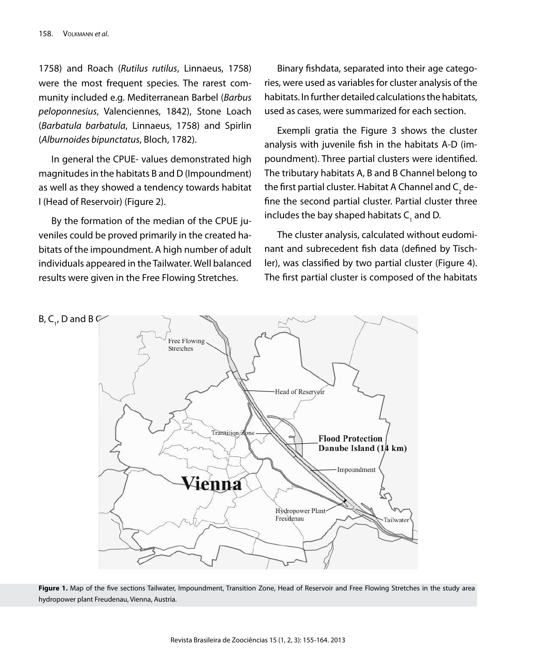1758) and Roach (*Rutilus rutilus*, Linnaeus, 1758) were the most frequent species. The rarest community included e.g. Mediterranean Barbel (*Barbus peloponnesius*, Valenciennes, 1842), Stone Loach (*Barbatula barbatula*, Linnaeus, 1758) and Spirlin (*Alburnoides bipunctatus*, Bloch, 1782).

In general the CPUE- values demonstrated high magnitudes in the habitats B and D (Impoundment) as well as they showed a tendency towards habitat I (Head of Reservoir) (Figure 2).

By the formation of the median of the CPUE juveniles could be proved primarily in the created habitats of the impoundment. A high number of adult individuals appeared in the Tailwater. Well balanced results were given in the Free Flowing Stretches.

Binary fishdata, separated into their age categories, were used as variables for cluster analysis of the habitats. In further detailed calculations the habitats, used as cases, were summarized for each section.

Exempli gratia the Figure 3 shows the cluster analysis with juvenile fish in the habitats A-D (impoundment). Three partial clusters were identified. The tributary habitats A, B and B Channel belong to the first partial cluster. Habitat A Channel and  $\mathsf{C}_\mathfrak{z}$  define the second partial cluster. Partial cluster three includes the bay shaped habitats C<sub>1</sub> and D.

The cluster analysis, calculated without eudominant and subrecedent fish data (defined by Tischler), was classified by two partial cluster (Figure 4). The first partial cluster is composed of the habitats



Figure 1. Map of the five sections Tailwater, Impoundment, Transition Zone, Head of Reservoir and Free Flowing Stretches in the study area hydropower plant Freudenau, Vienna, Austria.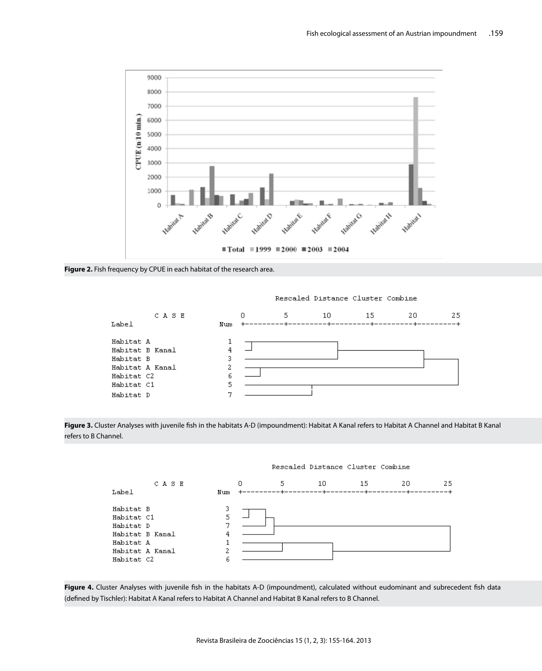

**Figure 2.** Fish frequency by CPUE in each habitat of the research area.







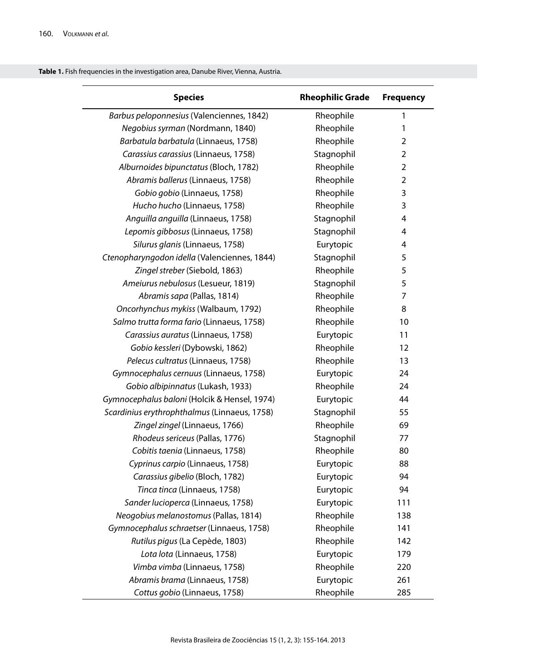|  |  |  | Table 1. Fish frequencies in the investigation area, Danube River, Vienna, Austria. |  |
|--|--|--|-------------------------------------------------------------------------------------|--|
|--|--|--|-------------------------------------------------------------------------------------|--|

| <b>Species</b>                               | <b>Rheophilic Grade</b> | <b>Frequency</b> |
|----------------------------------------------|-------------------------|------------------|
| Barbus peloponnesius (Valenciennes, 1842)    | Rheophile               | 1                |
| Negobius syrman (Nordmann, 1840)             | Rheophile               | 1                |
| Barbatula barbatula (Linnaeus, 1758)         | Rheophile               | $\overline{2}$   |
| Carassius carassius (Linnaeus, 1758)         | Stagnophil              | 2                |
| Alburnoides bipunctatus (Bloch, 1782)        | Rheophile               | $\overline{2}$   |
| Abramis ballerus (Linnaeus, 1758)            | Rheophile               | $\mathbf 2$      |
| Gobio gobio (Linnaeus, 1758)                 | Rheophile               | 3                |
| Hucho hucho (Linnaeus, 1758)                 | Rheophile               | 3                |
| Anguilla anguilla (Linnaeus, 1758)           | Stagnophil              | 4                |
| Lepomis gibbosus (Linnaeus, 1758)            | Stagnophil              | $\overline{4}$   |
| Silurus glanis (Linnaeus, 1758)              | Eurytopic               | 4                |
| Ctenopharyngodon idella (Valenciennes, 1844) | Stagnophil              | 5                |
| Zingel streber (Siebold, 1863)               | Rheophile               | 5                |
| Ameiurus nebulosus (Lesueur, 1819)           | Stagnophil              | 5                |
| Abramis sapa (Pallas, 1814)                  | Rheophile               | 7                |
| Oncorhynchus mykiss (Walbaum, 1792)          | Rheophile               | 8                |
| Salmo trutta forma fario (Linnaeus, 1758)    | Rheophile               | 10               |
| Carassius auratus (Linnaeus, 1758)           | Eurytopic               | 11               |
| Gobio kessleri (Dybowski, 1862)              | Rheophile               | 12               |
| Pelecus cultratus (Linnaeus, 1758)           | Rheophile               | 13               |
| Gymnocephalus cernuus (Linnaeus, 1758)       | Eurytopic               | 24               |
| Gobio albipinnatus (Lukash, 1933)            | Rheophile               | 24               |
| Gymnocephalus baloni (Holcik & Hensel, 1974) | Eurytopic               | 44               |
| Scardinius erythrophthalmus (Linnaeus, 1758) | Stagnophil              | 55               |
| Zingel zingel (Linnaeus, 1766)               | Rheophile               | 69               |
| Rhodeus sericeus (Pallas, 1776)              | Stagnophil              | 77               |
| Cobitis taenia (Linnaeus, 1758)              | Rheophile               | 80               |
| Cyprinus carpio (Linnaeus, 1758)             | Eurytopic               | 88               |
| Carassius gibelio (Bloch, 1782)              | Eurytopic               | 94               |
| Tinca tinca (Linnaeus, 1758)                 | Eurytopic               | 94               |
| Sander lucioperca (Linnaeus, 1758)           | Eurytopic               | 111              |
| Neogobius melanostomus (Pallas, 1814)        | Rheophile               | 138              |
| Gymnocephalus schraetser (Linnaeus, 1758)    | Rheophile               | 141              |
| Rutilus pigus (La Cepède, 1803)              | Rheophile               | 142              |
| Lota lota (Linnaeus, 1758)                   | Eurytopic               | 179              |
| Vimba vimba (Linnaeus, 1758)                 | Rheophile               | 220              |
| Abramis brama (Linnaeus, 1758)               | Eurytopic               | 261              |
| Cottus gobio (Linnaeus, 1758)                | Rheophile               | 285              |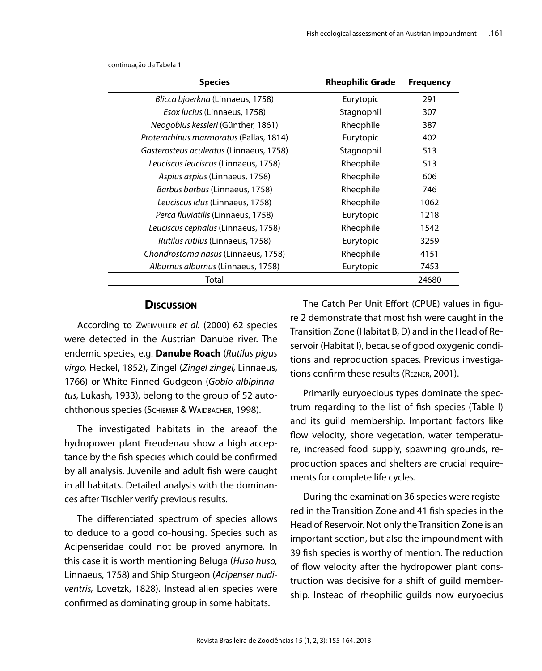| <b>Species</b>                            | <b>Rheophilic Grade</b> | <b>Frequency</b> |
|-------------------------------------------|-------------------------|------------------|
| <i>Blicca bjoerkna</i> (Linnaeus, 1758)   | Eurytopic               | 291              |
| <i>Esox lucius</i> (Linnaeus, 1758)       | Stagnophil              | 307              |
| Neogobius kessleri (Günther, 1861)        | Rheophile               | 387              |
| Proterorhinus marmoratus (Pallas, 1814)   | Eurytopic               | 402              |
| Gasterosteus aculeatus (Linnaeus, 1758)   | Stagnophil              | 513              |
| Leuciscus leuciscus (Linnaeus, 1758)      | Rheophile               | 513              |
| Aspius aspius (Linnaeus, 1758)            | Rheophile               | 606              |
| <i>Barbus barbus</i> (Linnaeus, 1758)     | Rheophile               | 746              |
| Leuciscus idus (Linnaeus, 1758)           | Rheophile               | 1062             |
| <i>Perca fluviatilis</i> (Linnaeus, 1758) | Eurytopic               | 1218             |
| Leuciscus cephalus (Linnaeus, 1758)       | Rheophile               | 1542             |
| Rutilus rutilus (Linnaeus, 1758)          | Eurytopic               | 3259             |
| Chondrostoma nasus (Linnaeus, 1758)       | Rheophile               | 4151             |
| Alburnus alburnus (Linnaeus, 1758)        | Eurytopic               | 7453             |
| Total                                     |                         | 24680            |

continuação da Tabela 1

### **Discussion**

According to Zweimüller *et al.* (2000) 62 species were detected in the Austrian Danube river. The endemic species, e.g. **Danube Roach** (*Rutilus pigus virgo,* Heckel, 1852), Zingel (*Zingel zingel,* Linnaeus, 1766) or White Finned Gudgeon (*Gobio albipinnatus,* Lukash, 1933), belong to the group of 52 autochthonous species (SCHIEMER & WAIDBACHER, 1998).

The investigated habitats in the areaof the hydropower plant Freudenau show a high acceptance by the fish species which could be confirmed by all analysis. Juvenile and adult fish were caught in all habitats. Detailed analysis with the dominances after Tischler verify previous results.

The differentiated spectrum of species allows to deduce to a good co-housing. Species such as Acipenseridae could not be proved anymore. In this case it is worth mentioning Beluga (*Huso huso,*  Linnaeus, 1758) and Ship Sturgeon (*Acipenser nudiventris,* Lovetzk, 1828). Instead alien species were confirmed as dominating group in some habitats.

The Catch Per Unit Effort (CPUE) values in figure 2 demonstrate that most fish were caught in the Transition Zone (Habitat B, D) and in the Head of Reservoir (Habitat I), because of good oxygenic conditions and reproduction spaces. Previous investigations confirm these results (Rezner, 2001).

Primarily euryoecious types dominate the spectrum regarding to the list of fish species (Table I) and its guild membership. Important factors like flow velocity, shore vegetation, water temperature, increased food supply, spawning grounds, reproduction spaces and shelters are crucial requirements for complete life cycles.

During the examination 36 species were registered in the Transition Zone and 41 fish species in the Head of Reservoir. Not only the Transition Zone is an important section, but also the impoundment with 39 fish species is worthy of mention. The reduction of flow velocity after the hydropower plant construction was decisive for a shift of guild membership. Instead of rheophilic guilds now euryoecius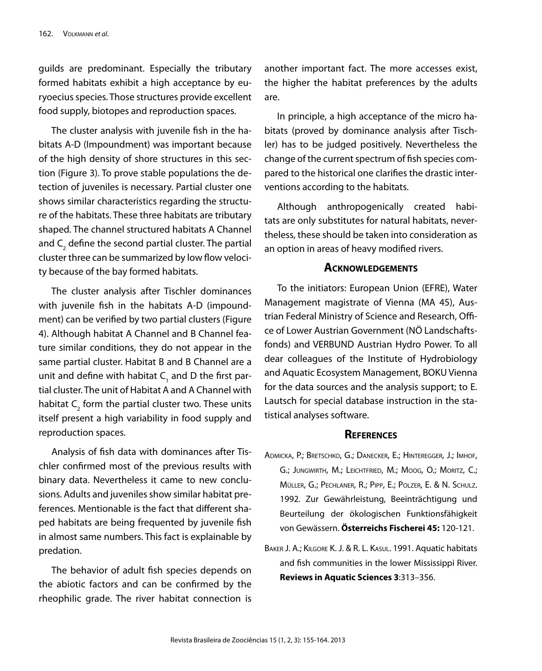guilds are predominant. Especially the tributary formed habitats exhibit a high acceptance by euryoecius species. Those structures provide excellent food supply, biotopes and reproduction spaces.

The cluster analysis with juvenile fish in the habitats A-D (Impoundment) was important because of the high density of shore structures in this section (Figure 3). To prove stable populations the detection of juveniles is necessary. Partial cluster one shows similar characteristics regarding the structure of the habitats. These three habitats are tributary shaped. The channel structured habitats A Channel and  $\mathsf{C}_\mathfrak{z}$  define the second partial cluster. The partial cluster three can be summarized by low flow velocity because of the bay formed habitats.

The cluster analysis after Tischler dominances with juvenile fish in the habitats A-D (impoundment) can be verified by two partial clusters (Figure 4). Although habitat A Channel and B Channel feature similar conditions, they do not appear in the same partial cluster. Habitat B and B Channel are a unit and define with habitat  $\mathsf{C}_1$  and D the first partial cluster. The unit of Habitat A and A Channel with habitat  $\mathsf{C}_2^{}$  form the partial cluster two. These units itself present a high variability in food supply and reproduction spaces.

Analysis of fish data with dominances after Tischler confirmed most of the previous results with binary data. Nevertheless it came to new conclusions. Adults and juveniles show similar habitat preferences. Mentionable is the fact that different shaped habitats are being frequented by juvenile fish in almost same numbers. This fact is explainable by predation.

The behavior of adult fish species depends on the abiotic factors and can be confirmed by the rheophilic grade. The river habitat connection is another important fact. The more accesses exist, the higher the habitat preferences by the adults are.

In principle, a high acceptance of the micro habitats (proved by dominance analysis after Tischler) has to be judged positively. Nevertheless the change of the current spectrum of fish species compared to the historical one clarifies the drastic interventions according to the habitats.

Although anthropogenically created habitats are only substitutes for natural habitats, nevertheless, these should be taken into consideration as an option in areas of heavy modified rivers.

### **Acknowledgements**

To the initiators: European Union (EFRE), Water Management magistrate of Vienna (MA 45), Austrian Federal Ministry of Science and Research, Office of Lower Austrian Government (NÖ Landschaftsfonds) and VERBUND Austrian Hydro Power. To all dear colleagues of the Institute of Hydrobiology and Aquatic Ecosystem Management, BOKU Vienna for the data sources and the analysis support; to E. Lautsch for special database instruction in the statistical analyses software.

### **References**

- Admicka, P.; Bretschko, G.; Danecker, E.; Hinteregger, J.; Imhof, G.; Jungwirth, M.; Leichtfried, M.; Moog, O.; Moritz, C.; Müller, G.; Pechlaner, R.; Pipp, E.; Polzer, E. & N. Schulz. 1992. Zur Gewährleistung, Beeinträchtigung und Beurteilung der ökologischen Funktionsfähigkeit von Gewässern. **Österreichs Fischerei 45:** 120-121.
- Baker J. A.; Kilgore K. J. & R. L. Kasul. 1991. Aquatic habitats and fish communities in the lower Mississippi River. **Reviews in Aquatic Sciences 3**:313–356.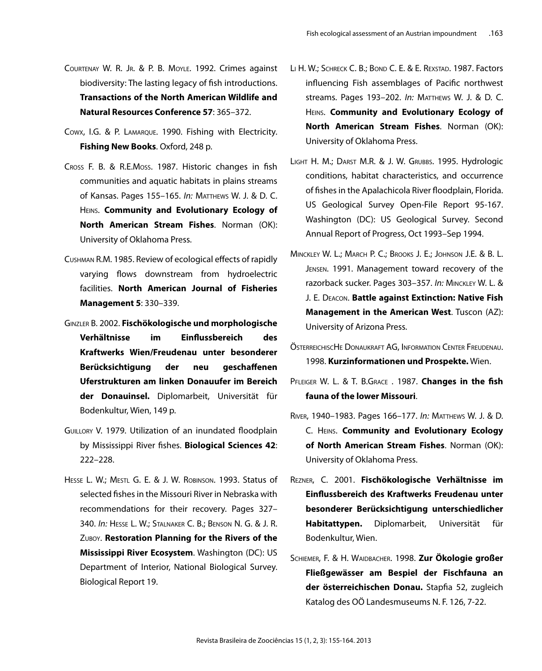- COURTENAY W. R. JR. & P. B. MOYLE. 1992. Crimes against biodiversity: The lasting legacy of fish introductions. **Transactions of the North American Wildlife and Natural Resources Conference 57**: 365–372.
- Cowx, I.G. & P. Lamarque. 1990. Fishing with Electricity. **Fishing New Books**. Oxford, 248 p.
- Cross F. B. & R.E.Moss. 1987. Historic changes in fish communities and aquatic habitats in plains streams of Kansas. Pages 155–165. *In:* Matthews W. J. & D. C. Heins. **Community and Evolutionary Ecology of North American Stream Fishes**. Norman (OK): University of Oklahoma Press.
- Cushman R.M. 1985. Review of ecological effects of rapidly varying flows downstream from hydroelectric facilities. **North American Journal of Fisheries Management 5**: 330–339.
- Ginzler B. 2002. **Fischökologische und morphologische Verhältnisse im Einflussbereich des Kraftwerks Wien/Freudenau unter besonderer Berücksichtigung der neu geschaffenen Uferstrukturen am linken Donauufer im Bereich der Donauinsel.** Diplomarbeit, Universität für Bodenkultur, Wien, 149 p.
- Guillory V. 1979. Utilization of an inundated floodplain by Mississippi River fishes. **Biological Sciences 42**: 222–228.
- HESSE L. W.; MESTL G. E. & J. W. ROBINSON. 1993. Status of selected fishes in the Missouri River in Nebraska with recommendations for their recovery. Pages 327– 340. *In:* Hesse L. W.; Stalnaker C. B.; Benson N. G. & J. R. Zuboy. **Restoration Planning for the Rivers of the Mississippi River Ecosystem**. Washington (DC): US Department of Interior, National Biological Survey. Biological Report 19.
- LI H. W.; SCHRECK C. B.; BOND C. E. & E. REXSTAD. 1987. Factors influencing Fish assemblages of Pacific northwest streams. Pages 193–202. *In:* Matthews W. J. & D. C. Heins. **Community and Evolutionary Ecology of North American Stream Fishes**. Norman (OK): University of Oklahoma Press.
- Light H. M.; Darst M.R. & J. W. Grubbs. 1995. Hydrologic conditions, habitat characteristics, and occurrence of fishes in the Apalachicola River floodplain, Florida. US Geological Survey Open-File Report 95-167. Washington (DC): US Geological Survey. Second Annual Report of Progress, Oct 1993–Sep 1994.
- Minckley W. L.; March P. C.; Brooks J. E.; Johnson J.E. & B. L. Jensen. 1991. Management toward recovery of the razorback sucker. Pages 303–357. *In:* Minckley W. L. & J. E. Deacon. **Battle against Extinction: Native Fish Management in the American West**. Tuscon (AZ): University of Arizona Press.
- ÖsterreichiscHe Donaukraft AG, Information Center Freudenau. 1998. **Kurzinformationen und Prospekte.** Wien.
- Pfleiger W. L. & T. B.Grace . 1987. **Changes in the fish fauna of the lower Missouri**.
- River, 1940–1983. Pages 166–177. *In:* Matthews W. J. & D. C. Heins. **Community and Evolutionary Ecology of North American Stream Fishes**. Norman (OK): University of Oklahoma Press.
- Rezner, C. 2001. **Fischökologische Verhältnisse im Einflussbereich des Kraftwerks Freudenau unter besonderer Berücksichtigung unterschiedlicher Habitattypen.** Diplomarbeit, Universität für Bodenkultur, Wien.
- Schiemer, F. & H. Waidbacher. 1998. **Zur Ökologie großer Fließgewässer am Bespiel der Fischfauna an der österreichischen Donau.** Stapfia 52, zugleich Katalog des OÖ Landesmuseums N. F. 126, 7-22.